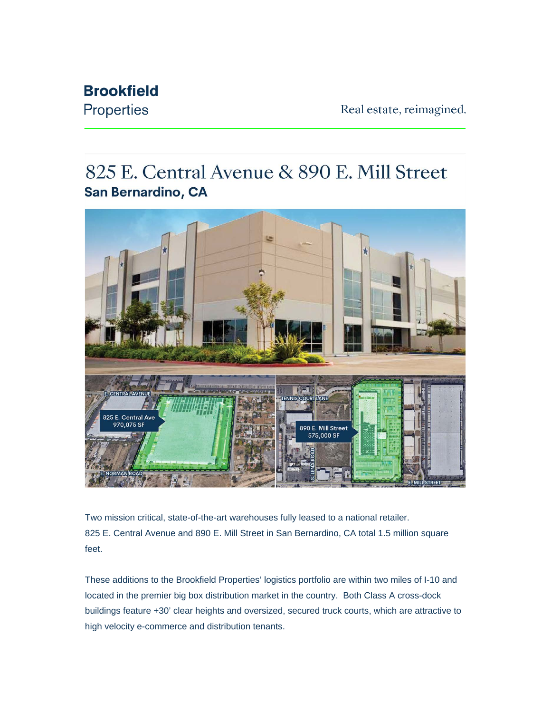## **Brookfield Properties**

825 E. Central Avenue & 890 E. Mill Street San Bernardino, CA



Two mission critical, state-of-the-art warehouses fully leased to a national retailer. 825 E. Central Avenue and 890 E. Mill Street in San Bernardino, CA total 1.5 million square feet.

These additions to the Brookfield Properties' logistics portfolio are within two miles of I-10 and located in the premier big box distribution market in the country. Both Class A cross-dock buildings feature +30' clear heights and oversized, secured truck courts, which are attractive to high velocity e-commerce and distribution tenants.